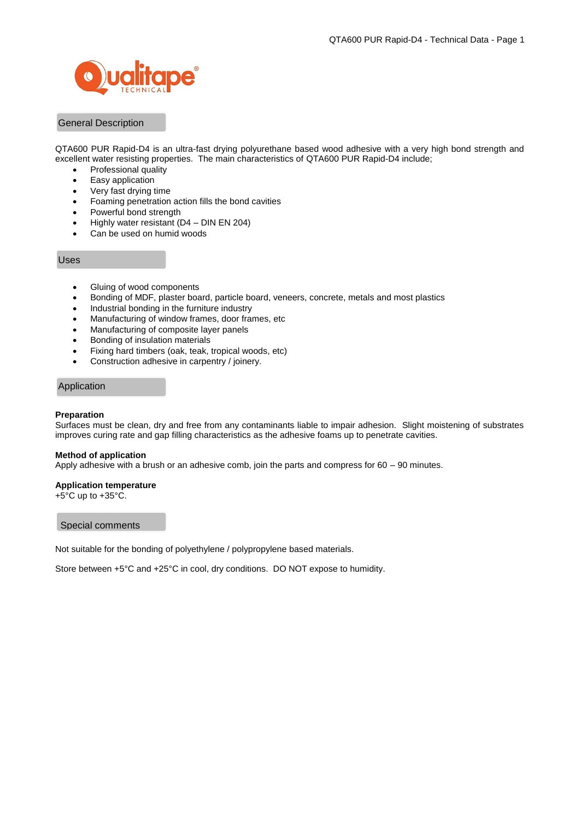

# General Description

QTA600 PUR Rapid-D4 is an ultra-fast drying polyurethane based wood adhesive with a very high bond strength and excellent water resisting properties. The main characteristics of QTA600 PUR Rapid-D4 include;

- Professional quality
- Easy application
- Very fast drying time
- Foaming penetration action fills the bond cavities
- Powerful bond strength
- $\bullet$  Highly water resistant (D4 DIN EN 204)
- Can be used on humid woods

### Uses

- Gluing of wood components
- Bonding of MDF, plaster board, particle board, veneers, concrete, metals and most plastics
- Industrial bonding in the furniture industry
- Manufacturing of window frames, door frames, etc
- Manufacturing of composite layer panels
- Bonding of insulation materials
- Fixing hard timbers (oak, teak, tropical woods, etc)
- Construction adhesive in carpentry / joinery.

## Application

### **Preparation**

Surfaces must be clean, dry and free from any contaminants liable to impair adhesion. Slight moistening of substrates improves curing rate and gap filling characteristics as the adhesive foams up to penetrate cavities.

#### **Method of application**

Apply adhesive with a brush or an adhesive comb, join the parts and compress for 60 – 90 minutes.

### **Application temperature**

+5°C up to +35°C.

#### Special comments

Not suitable for the bonding of polyethylene / polypropylene based materials.

Store between +5°C and +25°C in cool, dry conditions. DO NOT expose to humidity.